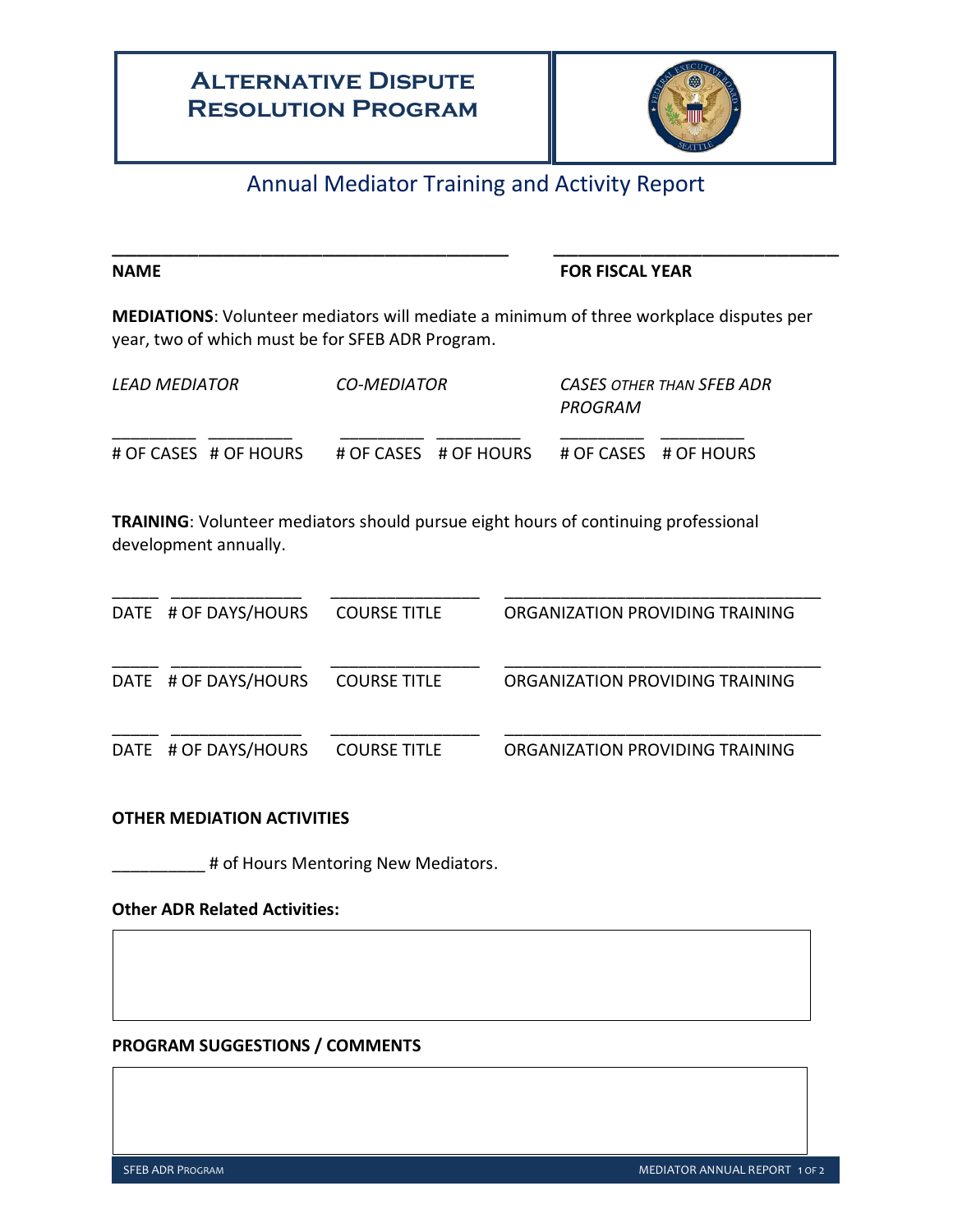## **Alternative Dispute Resolution Program**



## Annual Mediator Training and Activity Report

\_\_\_\_\_\_\_\_\_\_\_\_\_\_\_\_\_\_\_\_\_\_\_\_\_\_\_\_\_\_\_\_ \_\_\_\_\_\_\_\_\_\_\_\_\_\_\_\_\_\_\_\_\_\_\_

### **NAME STATE STATE SERVICE SERVICES FOR FISCAL YEAR**

**MEDIATIONS**: Volunteer mediators will mediate a minimum of three workplace disputes per year, two of which must be for SFEB ADR Program.

| <i>LEAD MEDIATOR</i> |                       | CO-MEDIATOR |                       | CASES OTHER THAN SFEB ADR<br>PROGRAM |                       |
|----------------------|-----------------------|-------------|-----------------------|--------------------------------------|-----------------------|
|                      | # OF CASES # OF HOURS |             | # OF CASES # OF HOURS |                                      | # OF CASES # OF HOURS |

**TRAINING**: Volunteer mediators should pursue eight hours of continuing professional development annually.

| DATE # OF DAYS/HOURS | <b>COURSE TITLE</b> | ORGANIZATION PROVIDING TRAINING |
|----------------------|---------------------|---------------------------------|
| DATE # OF DAYS/HOURS | <b>COURSE TITLE</b> | ORGANIZATION PROVIDING TRAINING |
| DATE # OF DAYS/HOURS | <b>COURSE TITLE</b> | ORGANIZATION PROVIDING TRAINING |

### **OTHER MEDIATION ACTIVITIES**

\_ # of Hours Mentoring New Mediators.

#### **Other ADR Related Activities:**

## **PROGRAM SUGGESTIONS / COMMENTS**